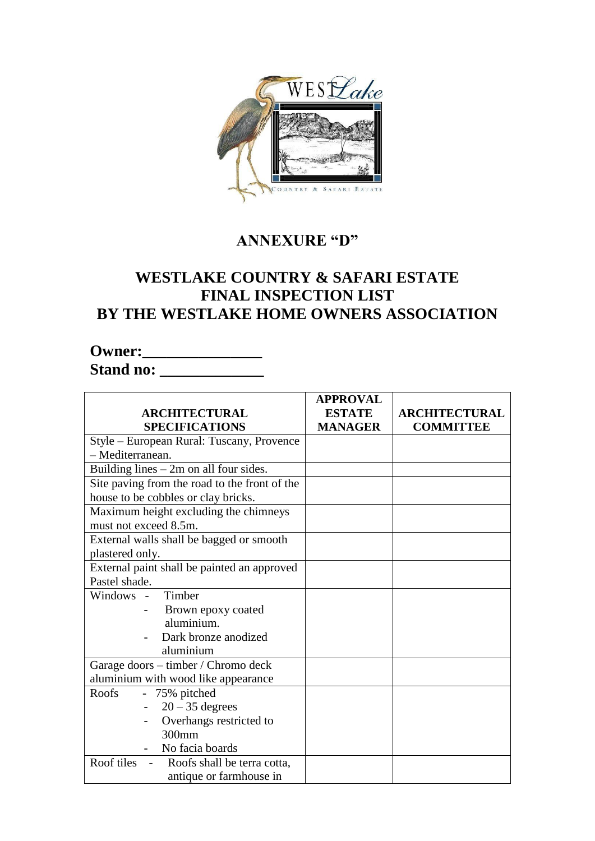

## **ANNEXURE "D"**

## **WESTLAKE COUNTRY & SAFARI ESTATE FINAL INSPECTION LIST BY THE WESTLAKE HOME OWNERS ASSOCIATION**

## **Owner:\_\_\_\_\_\_\_\_\_\_\_\_\_\_\_\_\_\_\_ Stand no: \_\_\_\_\_\_\_\_\_\_\_\_\_\_\_\_\_**

|                                                             | <b>APPROVAL</b> |                      |
|-------------------------------------------------------------|-----------------|----------------------|
| <b>ARCHITECTURAL</b>                                        | <b>ESTATE</b>   | <b>ARCHITECTURAL</b> |
| <b>SPECIFICATIONS</b>                                       | <b>MANAGER</b>  | <b>COMMITTEE</b>     |
| Style – European Rural: Tuscany, Provence                   |                 |                      |
| - Mediterranean.                                            |                 |                      |
| Building lines $-2m$ on all four sides.                     |                 |                      |
| Site paving from the road to the front of the               |                 |                      |
| house to be cobbles or clay bricks.                         |                 |                      |
| Maximum height excluding the chimneys                       |                 |                      |
| must not exceed 8.5m.                                       |                 |                      |
| External walls shall be bagged or smooth                    |                 |                      |
| plastered only.                                             |                 |                      |
| External paint shall be painted an approved                 |                 |                      |
| Pastel shade.                                               |                 |                      |
| Windows - Timber                                            |                 |                      |
| Brown epoxy coated                                          |                 |                      |
| aluminium.                                                  |                 |                      |
| Dark bronze anodized                                        |                 |                      |
| aluminium                                                   |                 |                      |
| Garage doors – timber / Chromo deck                         |                 |                      |
| aluminium with wood like appearance                         |                 |                      |
| Roofs<br>- 75% pitched                                      |                 |                      |
| $20 - 35$ degrees                                           |                 |                      |
| Overhangs restricted to                                     |                 |                      |
| 300mm                                                       |                 |                      |
| No facia boards                                             |                 |                      |
| Roof tiles<br>Roofs shall be terra cotta,<br>$\blacksquare$ |                 |                      |
| antique or farmhouse in                                     |                 |                      |